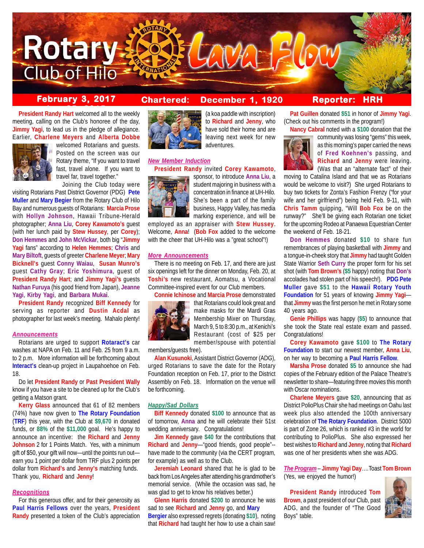

**President Randy Hart** welcomed all to the weekly meeting, calling on the Club's honoree of the day, **Jimmy Yagi**, to lead us in the pledge of allegiance. Earlier, **Charlene Meyers** and **Alberta Dobbe**



welcomed Rotarians and guests. Posted on the screen was our Rotary theme, "If you want to travel fast, travel alone. If you want to travel far, travel together." Joining the Club today were

visiting Rotarians Past District Governor (PDG) **Pete Muller** and **Mary Begier** from the Rotary Club of Hilo Bay and numerous guests of Rotarians: **Marcia Prose** with **Hollyn Johnson**, Hawaii Tribune-Herald photographer; **Anna Liu**, **Corey Kawamoto's** guest (with her lunch paid by **Stew Hussey**, per **Corey**); **Don Hemmes** and **John McVickar**, both big "**Jimmy Yagi** fans" according to **Helen Hemmes**; **Chris** and **Mary Biltoft**, guests of greeter **Charlene Meyer**; **Mary Bicknell's** guest **Conny Waiau**, **Susan Munro's** guest **Cathy Gray**; **Eric Yoshimura**, guest of **President Randy Hart**; and **Jimmy Yagi's** guests **Nathan Furuya** (his good friend from Japan), **Jeanne Yagi**, **Kirby Yagi**, and **Barbara Mukai**.

**President Randy** recognized **Biff Kennedy** for serving as reporter and **Dustin Acdal** as photographer for last week's meeting. Mahalo plenty!

### *Announcements*

Rotarians are urged to support **Rotaract's** car washes at NAPA on Feb. 11 and Feb. 25 from 9 a.m. to 2 p.m. More information will be forthcoming about **Interact's** clean-up project in Laupahoehoe on Feb. 18.

Do let **President Randy** or **Past President Wally** know if you have a site to be cleaned up for the Club's getting a Matson grant.

**Kerry Glass** announced that 61 of 82 members (74%) have now given to **The Rotary Foundation** (**TRF**) this year, with the Club at **\$9,670** in donated funds, or **88%** of the **\$11,000** goal. He's happy to announce an incentive: the **Richard** and **Jenny Johnson** 2 for 1 Points Match. Yes, with a minimum gift of \$50, your gift will now—until the points run out earn you 1 point per dollar from TRF plus 2 points per dollar from **Richard's** and **Jenny's** matching funds. Thank you, **Richard** and **Jenny**!

### *Recognitions*

For this generous offer, and for their generosity as **Paul Harris Fellows** over the years, **President Randy** presented a token of the Club's appreciation

# **February 3, 2017 Chartered: December 1, 1920**



(a koa paddle with inscription) to **Richard** and **Jenny**, who have sold their home and are leaving next week for new adventures.

## *New Member Induction*

**President Randy** invited **Corey Kawamoto**,



sponsor, to introduce **Anna Liu**, a student majoring in business with a concentration in finance at UH-Hilo. She's been a part of the family business, Happy Valley, has media marking experience, and will be

employed as an appraiser with **Stew Hussey**. Welcome, **Anna**! (**Bob Fox** added to the welcome with the cheer that UH-Hilo was a "great school"!)

## *More Announcements*

There is no meeting on Feb. 17, and there are just six openings left for the dinner on Monday, Feb. 20, at **Toshi's** new restaurant, Aomatsu, a Vocational Committee-inspired event for our Club members.

**Connie Ichinose** and **Marcia Prose** demonstrated



that Rotarians could look great and make masks for the Mardi Gras Membership Mixer on Thursday, March 9, 5 to 8:30 p.m., at Kenichi's Restaurant (cost of \$25 per member/spouse with potential

members/guests free).

**Alan Kusunoki**, Assistant District Governor (ADG), urged Rotarians to save the date for the Rotary Foundation reception on Feb. 17, prior to the District Assembly on Feb. 18. Information on the venue will be forthcoming.

## *Happy/Sad Dollars*

**Biff Kennedy** donated **\$100** to announce that as of tomorrow, **Anna** and he will celebrate their 51st wedding anniversary. Congratulations!

**Jim Kennedy** gave **\$40** for the contributions that **Richard** and **Jenny**—"good friends, good people"- have made to the community (via the CERT program, for example) as well as to the Club.

**Jeremiah Leonard** shared that he is glad to be back from Los Angeles after attending his grandmother's memorial service. (While the occasion was sad, he was glad to get to know his relatives better.)

**Glenn Harris** donated **\$200** to announce he was sad to see **Richard** and **Jenny** go, and **Mary Bergier** also expressed regrets (donating **\$10**), noting that **Richard** had taught her how to use a chain saw!

## **Reporter: HRH**

**Pat Guillen** donated **\$51** in honor of **Jimmy Yagi**. (Check out his comments in the program!)



**Nancy Cabral** noted with a **\$100** donation that the community was losing "gems" this week, as this morning's paper carried the news of **Fred Koehnen's** passing, and **Richard** and **Jenny** were leaving. (Was that an "alternate fact" of their

moving to Catalina Island and that we as Rotarians would be welcome to visit?) She urged Rotarians to buy two tickets for Zonta's Fashion Frenzy ("for your wife and her girlfriend") being held Feb. 9-11, with **Chris Tamm** quipping, "Will **Bob Fox** be on the runway?" She'll be giving each Rotarian one ticket for the upcoming Rodeo at Panaewa Equestrian Center the weekend of Feb. 18-21.

**Don Hemmes** donated **\$10** to share fun remembrances of playing basketball with **Jimmy** and a tongue-in-cheek story that **Jimmy** had taught Golden State Warrior **Seth Curry** the proper form for his set shot (with **Tom Brown's** (**\$5** happy) noting that **Don's** accolades had stolen part of his speech!). **PDG Pete Muller** gave **\$51** to the **Hawaii Rotary Youth Foundation** for 51 years of knowing **Jimmy Yagi** that **Jimmy** was the first person he met in Rotary some 40 years ago.

**Genie Phillips** was happy (**\$5**) to announce that she took the State real estate exam and passed. Congratulations!

**Corey Kawamoto** gave **\$100** to **The Rotary Foundation** to start our newest member, **Anna Liu**, on her way to becoming a **Paul Harris Fellow**.

**Marsha Prose** donated **\$5** to announce she had copies of the February edition of the Palace Theatre's newsletter to share—featuring three movies this month with Oscar nominations.

**Charlene Meyers** gave **\$20**, announcing that as District PolioPlus Chair she had meetings on Oahu last week plus also attended the 100th anniversary celebration of **The Rotary Foundation**. District 5000 is part of Zone 26, which is ranked #3 in the world for contributing to PolioPlus. She also expressed her best wishes to **Richard** and **Jenny**, noting that **Richard** was one of her presidents when she was ADG.

*The Program* – **Jimmy Yagi Day**….Toast **Tom Brown** (Yes, we enjoyed the humor!)

**President Randy** introduced **Tom Brown**, a past president of our Club, past ADG, and the founder of "The Good Boys" table.